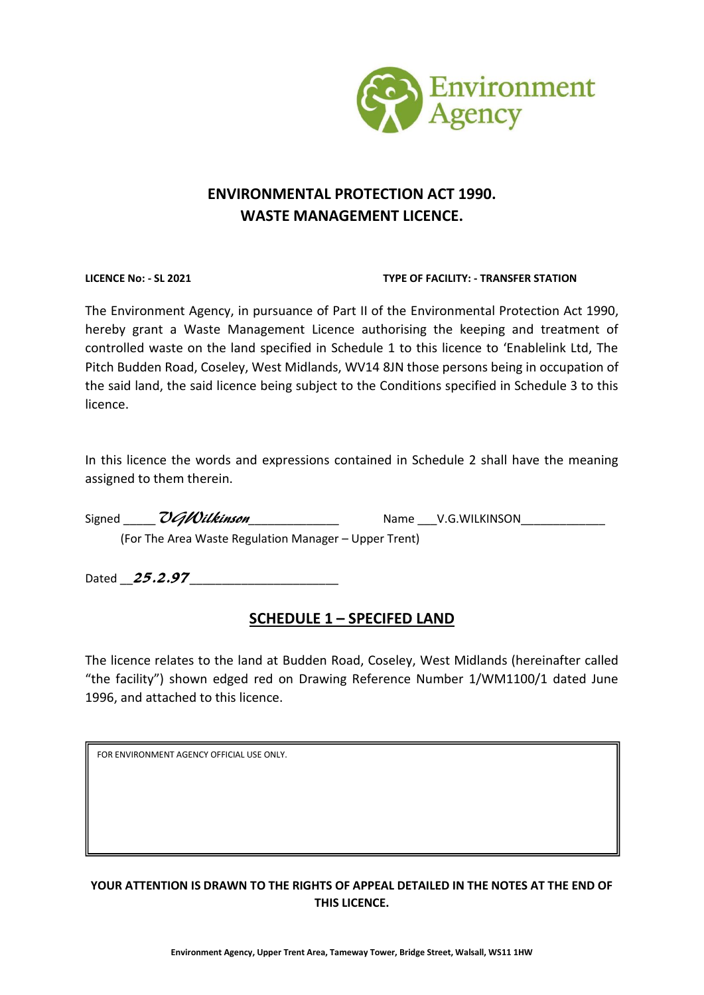

# **ENVIRONMENTAL PROTECTION ACT 1990. WASTE MANAGEMENT LICENCE.**

#### **LICENCE No: - SL 2021 TYPE OF FACILITY: - TRANSFER STATION**

The Environment Agency, in pursuance of Part II of the Environmental Protection Act 1990, hereby grant a Waste Management Licence authorising the keeping and treatment of controlled waste on the land specified in Schedule 1 to this licence to 'Enablelink Ltd, The Pitch Budden Road, Coseley, West Midlands, WV14 8JN those persons being in occupation of the said land, the said licence being subject to the Conditions specified in Schedule 3 to this licence.

In this licence the words and expressions contained in Schedule 2 shall have the meaning assigned to them therein.

| Signed | UGWilkinson                                           | Name V.G.WILKINSON |
|--------|-------------------------------------------------------|--------------------|
|        | (For The Area Waste Regulation Manager – Upper Trent) |                    |

Dated  $\_25.2.97$ 

# **SCHEDULE 1 – SPECIFED LAND**

The licence relates to the land at Budden Road, Coseley, West Midlands (hereinafter called "the facility") shown edged red on Drawing Reference Number 1/WM1100/1 dated June 1996, and attached to this licence.

FOR ENVIRONMENT AGENCY OFFICIAL USE ONLY.

# **YOUR ATTENTION IS DRAWN TO THE RIGHTS OF APPEAL DETAILED IN THE NOTES AT THE END OF THIS LICENCE.**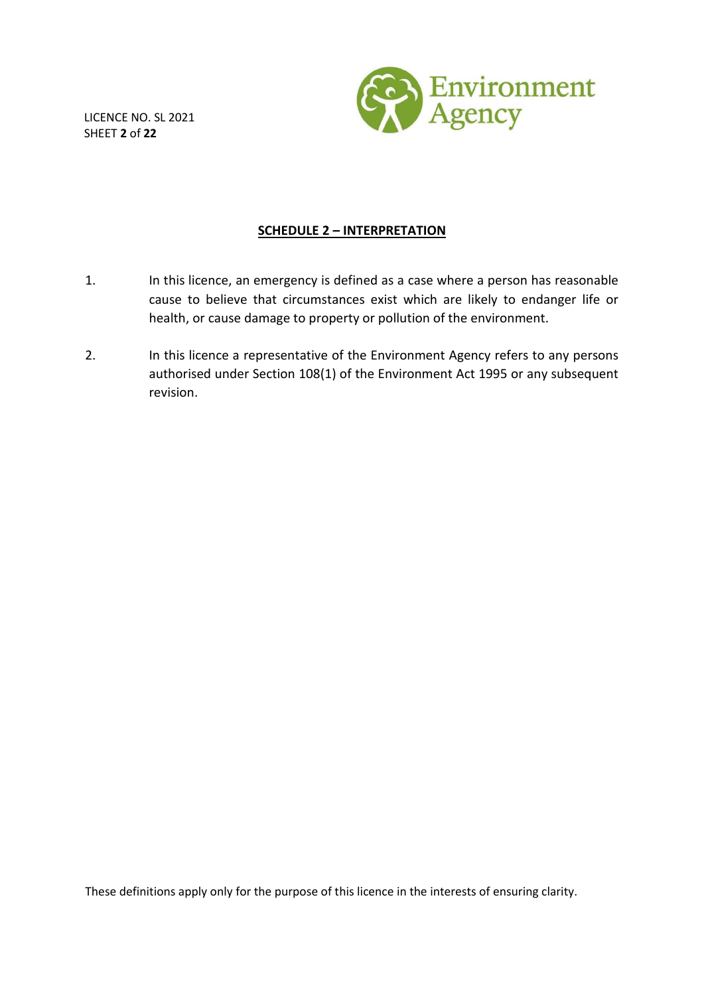LICENCE NO. SL 2021 SHEET **2** of **22**



### **SCHEDULE 2 – INTERPRETATION**

- 1. In this licence, an emergency is defined as a case where a person has reasonable cause to believe that circumstances exist which are likely to endanger life or health, or cause damage to property or pollution of the environment.
- 2. In this licence a representative of the Environment Agency refers to any persons authorised under Section 108(1) of the Environment Act 1995 or any subsequent revision.

These definitions apply only for the purpose of this licence in the interests of ensuring clarity.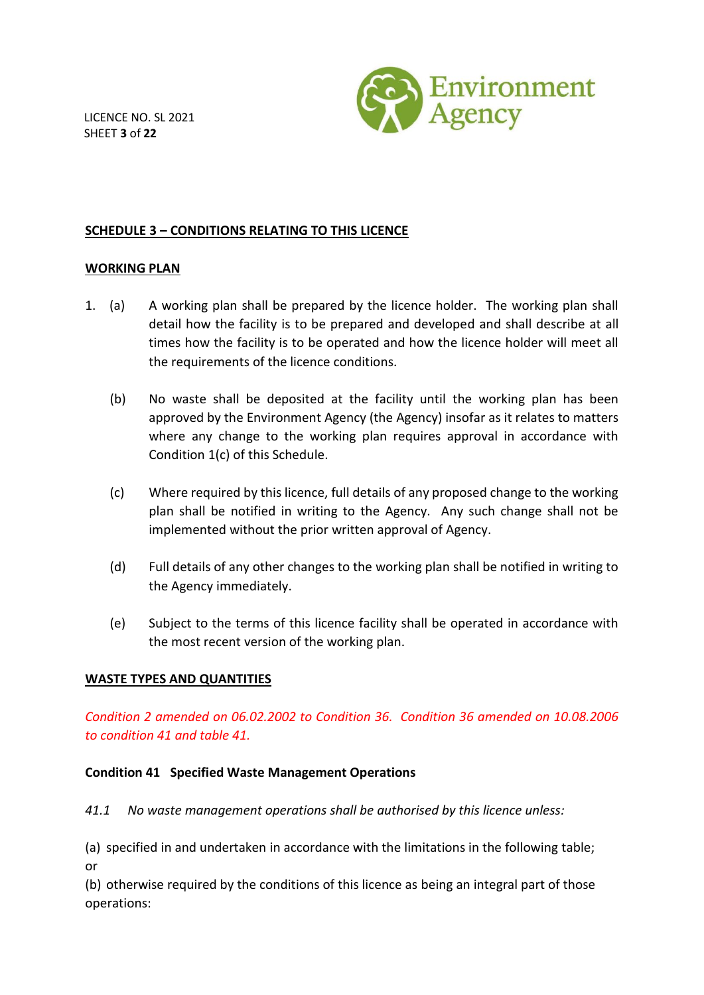LICENCE NO. SL 2021 SHEET **3** of **22**



# **SCHEDULE 3 – CONDITIONS RELATING TO THIS LICENCE**

### **WORKING PLAN**

- 1. (a) A working plan shall be prepared by the licence holder. The working plan shall detail how the facility is to be prepared and developed and shall describe at all times how the facility is to be operated and how the licence holder will meet all the requirements of the licence conditions.
	- (b) No waste shall be deposited at the facility until the working plan has been approved by the Environment Agency (the Agency) insofar as it relates to matters where any change to the working plan requires approval in accordance with Condition 1(c) of this Schedule.
	- (c) Where required by this licence, full details of any proposed change to the working plan shall be notified in writing to the Agency. Any such change shall not be implemented without the prior written approval of Agency.
	- (d) Full details of any other changes to the working plan shall be notified in writing to the Agency immediately.
	- (e) Subject to the terms of this licence facility shall be operated in accordance with the most recent version of the working plan.

### **WASTE TYPES AND QUANTITIES**

*Condition 2 amended on 06.02.2002 to Condition 36. Condition 36 amended on 10.08.2006 to condition 41 and table 41.*

### **Condition 41 Specified Waste Management Operations**

*41.1 No waste management operations shall be authorised by this licence unless:*

(a) specified in and undertaken in accordance with the limitations in the following table; or

(b) otherwise required by the conditions of this licence as being an integral part of those operations: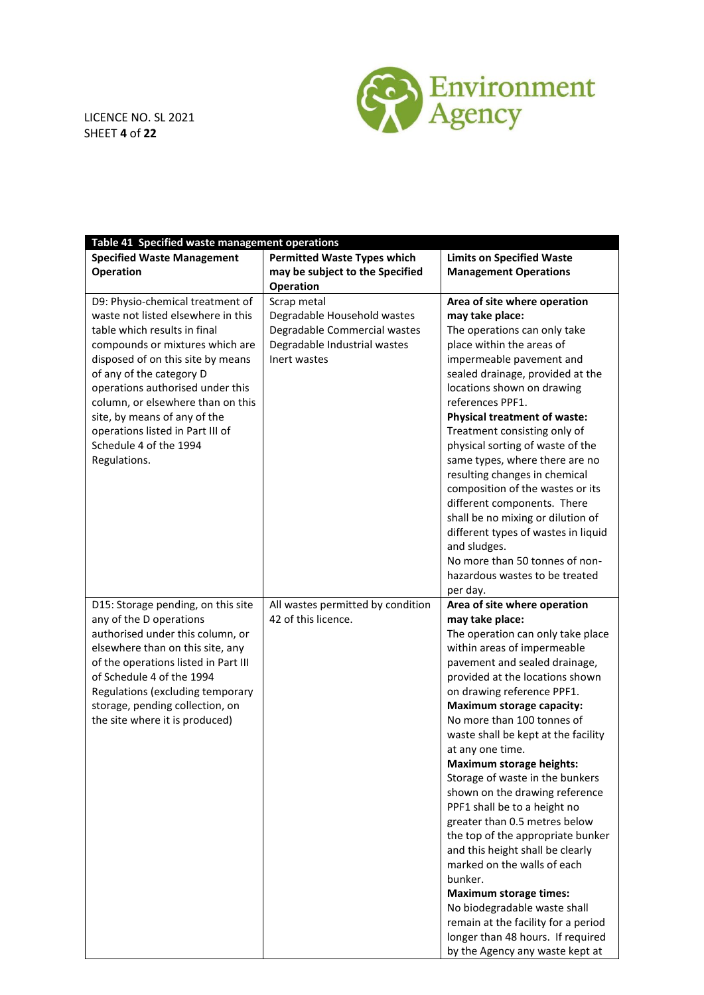

LICENCE NO. SL 2021 SHEET **4** of **22**

| Table 41 Specified waste management operations                                                                                                                                                                                                                                                                                                                                                    |                                                                                                                            |                                                                                                                                                                                                                                                                                                                                                                                                                                                                                                                                                                                                                                                                                                                                                                                                                                            |  |  |  |  |
|---------------------------------------------------------------------------------------------------------------------------------------------------------------------------------------------------------------------------------------------------------------------------------------------------------------------------------------------------------------------------------------------------|----------------------------------------------------------------------------------------------------------------------------|--------------------------------------------------------------------------------------------------------------------------------------------------------------------------------------------------------------------------------------------------------------------------------------------------------------------------------------------------------------------------------------------------------------------------------------------------------------------------------------------------------------------------------------------------------------------------------------------------------------------------------------------------------------------------------------------------------------------------------------------------------------------------------------------------------------------------------------------|--|--|--|--|
| <b>Specified Waste Management</b>                                                                                                                                                                                                                                                                                                                                                                 | <b>Permitted Waste Types which</b>                                                                                         | <b>Limits on Specified Waste</b>                                                                                                                                                                                                                                                                                                                                                                                                                                                                                                                                                                                                                                                                                                                                                                                                           |  |  |  |  |
| Operation                                                                                                                                                                                                                                                                                                                                                                                         | may be subject to the Specified                                                                                            | <b>Management Operations</b>                                                                                                                                                                                                                                                                                                                                                                                                                                                                                                                                                                                                                                                                                                                                                                                                               |  |  |  |  |
|                                                                                                                                                                                                                                                                                                                                                                                                   | <b>Operation</b>                                                                                                           |                                                                                                                                                                                                                                                                                                                                                                                                                                                                                                                                                                                                                                                                                                                                                                                                                                            |  |  |  |  |
| D9: Physio-chemical treatment of<br>waste not listed elsewhere in this<br>table which results in final<br>compounds or mixtures which are<br>disposed of on this site by means<br>of any of the category D<br>operations authorised under this<br>column, or elsewhere than on this<br>site, by means of any of the<br>operations listed in Part III of<br>Schedule 4 of the 1994<br>Regulations. | Scrap metal<br>Degradable Household wastes<br>Degradable Commercial wastes<br>Degradable Industrial wastes<br>Inert wastes | Area of site where operation<br>may take place:<br>The operations can only take<br>place within the areas of<br>impermeable pavement and<br>sealed drainage, provided at the<br>locations shown on drawing<br>references PPF1.<br><b>Physical treatment of waste:</b><br>Treatment consisting only of<br>physical sorting of waste of the<br>same types, where there are no<br>resulting changes in chemical<br>composition of the wastes or its<br>different components. There<br>shall be no mixing or dilution of<br>different types of wastes in liquid<br>and sludges.<br>No more than 50 tonnes of non-<br>hazardous wastes to be treated                                                                                                                                                                                            |  |  |  |  |
| D15: Storage pending, on this site<br>any of the D operations<br>authorised under this column, or<br>elsewhere than on this site, any<br>of the operations listed in Part III<br>of Schedule 4 of the 1994<br>Regulations (excluding temporary<br>storage, pending collection, on<br>the site where it is produced)                                                                               | All wastes permitted by condition<br>42 of this licence.                                                                   | per day.<br>Area of site where operation<br>may take place:<br>The operation can only take place<br>within areas of impermeable<br>pavement and sealed drainage,<br>provided at the locations shown<br>on drawing reference PPF1.<br><b>Maximum storage capacity:</b><br>No more than 100 tonnes of<br>waste shall be kept at the facility<br>at any one time.<br><b>Maximum storage heights:</b><br>Storage of waste in the bunkers<br>shown on the drawing reference<br>PPF1 shall be to a height no<br>greater than 0.5 metres below<br>the top of the appropriate bunker<br>and this height shall be clearly<br>marked on the walls of each<br>bunker.<br><b>Maximum storage times:</b><br>No biodegradable waste shall<br>remain at the facility for a period<br>longer than 48 hours. If required<br>by the Agency any waste kept at |  |  |  |  |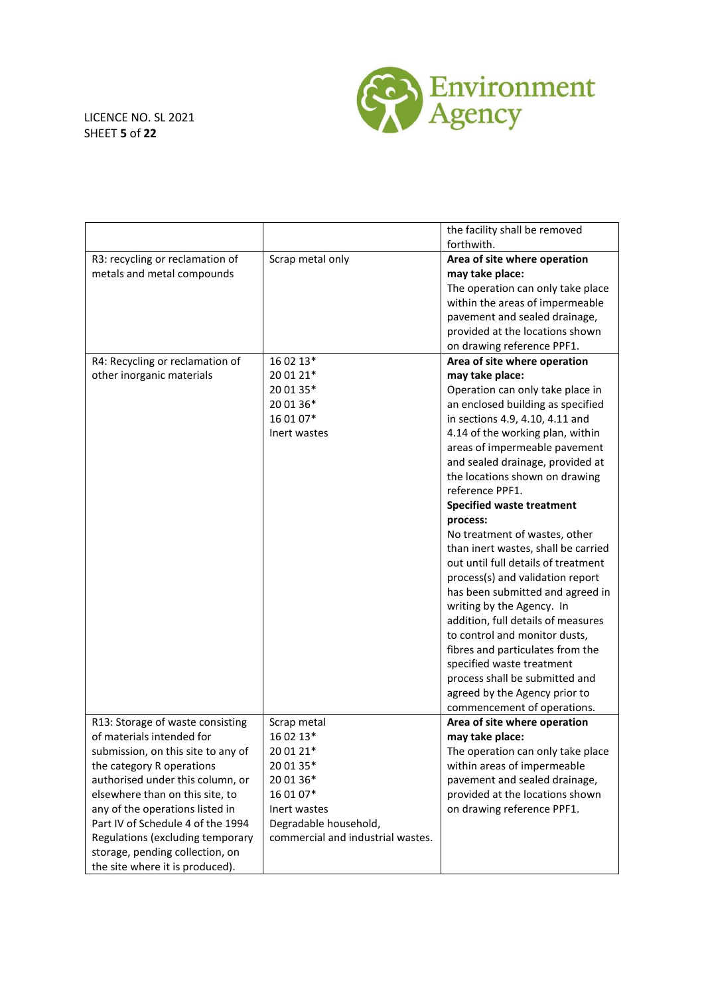### LICENCE NO. SL 2021 SHEET **5** of **22**



|                                    |                                   | the facility shall be removed       |
|------------------------------------|-----------------------------------|-------------------------------------|
|                                    |                                   | forthwith.                          |
| R3: recycling or reclamation of    | Scrap metal only                  | Area of site where operation        |
| metals and metal compounds         |                                   | may take place:                     |
|                                    |                                   | The operation can only take place   |
|                                    |                                   | within the areas of impermeable     |
|                                    |                                   | pavement and sealed drainage,       |
|                                    |                                   | provided at the locations shown     |
|                                    |                                   | on drawing reference PPF1.          |
| R4: Recycling or reclamation of    | 16 02 13*                         | Area of site where operation        |
| other inorganic materials          | 20 01 21*                         | may take place:                     |
|                                    | 20 01 35*                         | Operation can only take place in    |
|                                    | 20 01 36*                         | an enclosed building as specified   |
|                                    | 16 01 07*                         | in sections 4.9, 4.10, 4.11 and     |
|                                    | Inert wastes                      | 4.14 of the working plan, within    |
|                                    |                                   | areas of impermeable pavement       |
|                                    |                                   | and sealed drainage, provided at    |
|                                    |                                   | the locations shown on drawing      |
|                                    |                                   | reference PPF1.                     |
|                                    |                                   | <b>Specified waste treatment</b>    |
|                                    |                                   | process:                            |
|                                    |                                   | No treatment of wastes, other       |
|                                    |                                   | than inert wastes, shall be carried |
|                                    |                                   | out until full details of treatment |
|                                    |                                   | process(s) and validation report    |
|                                    |                                   | has been submitted and agreed in    |
|                                    |                                   | writing by the Agency. In           |
|                                    |                                   | addition, full details of measures  |
|                                    |                                   | to control and monitor dusts,       |
|                                    |                                   | fibres and particulates from the    |
|                                    |                                   | specified waste treatment           |
|                                    |                                   | process shall be submitted and      |
|                                    |                                   | agreed by the Agency prior to       |
|                                    |                                   | commencement of operations.         |
| R13: Storage of waste consisting   | Scrap metal                       | Area of site where operation        |
| of materials intended for          | 16 02 13*                         | may take place:                     |
| submission, on this site to any of | 20 01 21*                         | The operation can only take place   |
| the category R operations          | 20 01 35*                         | within areas of impermeable         |
| authorised under this column, or   | 20 01 36*                         | pavement and sealed drainage,       |
| elsewhere than on this site, to    | 16 01 07*                         | provided at the locations shown     |
| any of the operations listed in    | Inert wastes                      | on drawing reference PPF1.          |
| Part IV of Schedule 4 of the 1994  | Degradable household,             |                                     |
| Regulations (excluding temporary   | commercial and industrial wastes. |                                     |
| storage, pending collection, on    |                                   |                                     |
| the site where it is produced).    |                                   |                                     |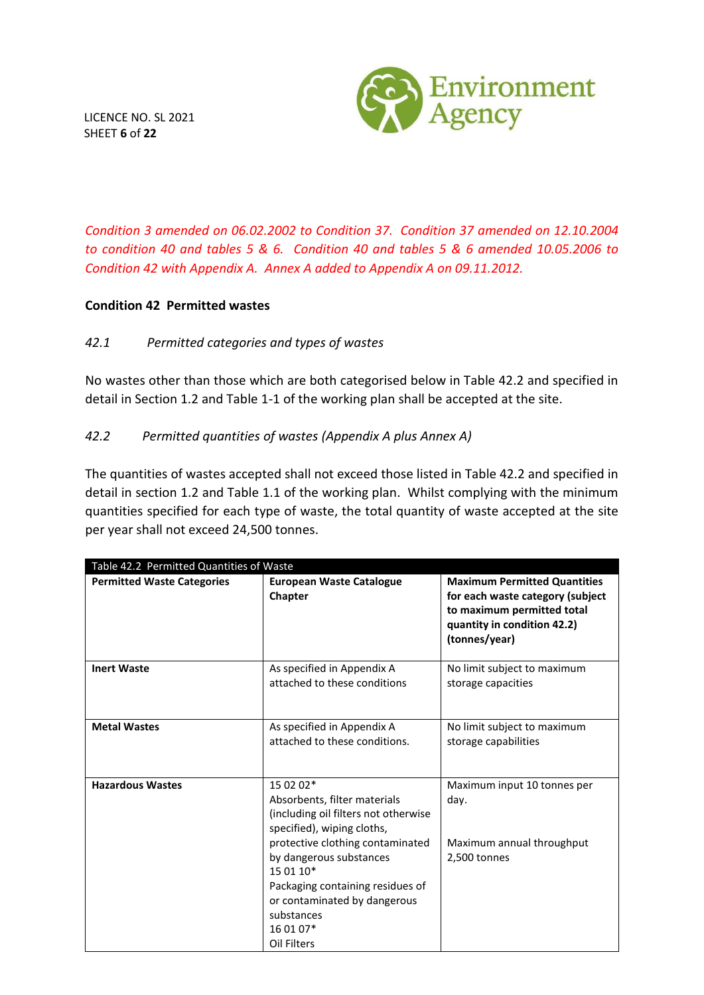

LICENCE NO. SL 2021 SHEET **6** of **22**

*Condition 3 amended on 06.02.2002 to Condition 37. Condition 37 amended on 12.10.2004 to condition 40 and tables 5 & 6. Condition 40 and tables 5 & 6 amended 10.05.2006 to Condition 42 with Appendix A. Annex A added to Appendix A on 09.11.2012.*

### **Condition 42 Permitted wastes**

# *42.1 Permitted categories and types of wastes*

No wastes other than those which are both categorised below in Table 42.2 and specified in detail in Section 1.2 and Table 1-1 of the working plan shall be accepted at the site.

# *42.2 Permitted quantities of wastes (Appendix A plus Annex A)*

The quantities of wastes accepted shall not exceed those listed in Table 42.2 and specified in detail in section 1.2 and Table 1.1 of the working plan. Whilst complying with the minimum quantities specified for each type of waste, the total quantity of waste accepted at the site per year shall not exceed 24,500 tonnes.

| Table 42.2 Permitted Quantities of Waste |                                                                                                                                                                                                                                                                                                           |                                                                                                                                                       |  |  |  |
|------------------------------------------|-----------------------------------------------------------------------------------------------------------------------------------------------------------------------------------------------------------------------------------------------------------------------------------------------------------|-------------------------------------------------------------------------------------------------------------------------------------------------------|--|--|--|
| <b>Permitted Waste Categories</b>        | <b>European Waste Catalogue</b><br>Chapter                                                                                                                                                                                                                                                                | <b>Maximum Permitted Quantities</b><br>for each waste category (subject<br>to maximum permitted total<br>quantity in condition 42.2)<br>(tonnes/year) |  |  |  |
| <b>Inert Waste</b>                       | As specified in Appendix A<br>attached to these conditions                                                                                                                                                                                                                                                | No limit subject to maximum<br>storage capacities                                                                                                     |  |  |  |
| <b>Metal Wastes</b>                      | As specified in Appendix A<br>attached to these conditions.                                                                                                                                                                                                                                               | No limit subject to maximum<br>storage capabilities                                                                                                   |  |  |  |
| <b>Hazardous Wastes</b>                  | 15 02 02*<br>Absorbents, filter materials<br>(including oil filters not otherwise<br>specified), wiping cloths,<br>protective clothing contaminated<br>by dangerous substances<br>15 01 10*<br>Packaging containing residues of<br>or contaminated by dangerous<br>substances<br>16 01 07*<br>Oil Filters | Maximum input 10 tonnes per<br>day.<br>Maximum annual throughput<br>2,500 tonnes                                                                      |  |  |  |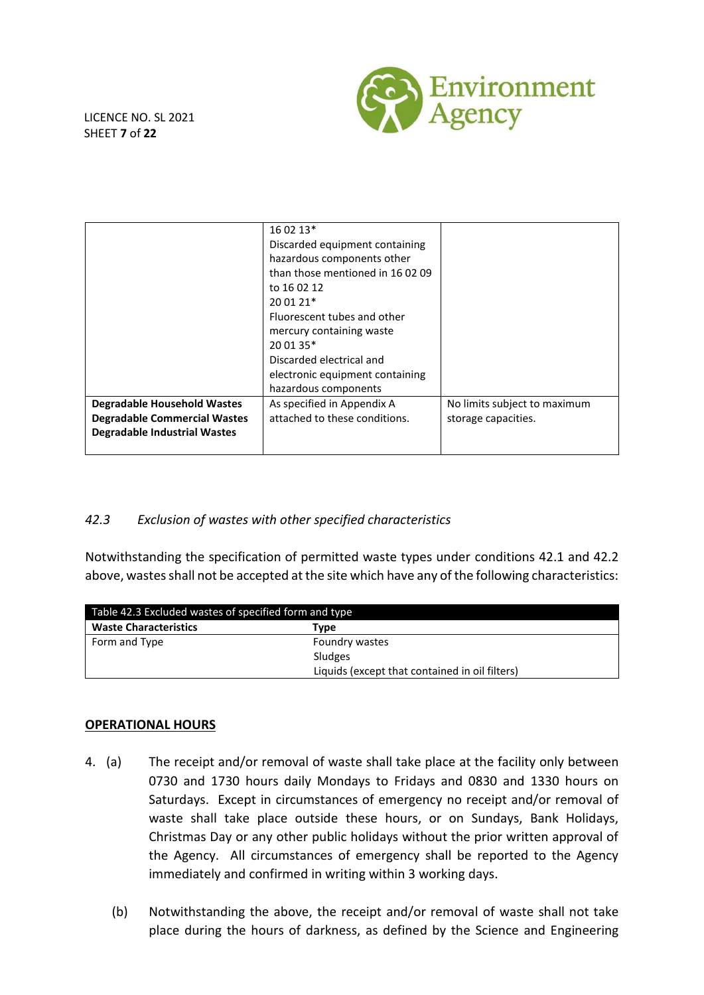

LICENCE NO. SL 2021 SHEET **7** of **22**

|                                     | 16 02 13*                       |                              |  |
|-------------------------------------|---------------------------------|------------------------------|--|
|                                     | Discarded equipment containing  |                              |  |
|                                     | hazardous components other      |                              |  |
|                                     | than those mentioned in 160209  |                              |  |
|                                     | to 16 02 12                     |                              |  |
|                                     | 20 01 21*                       |                              |  |
|                                     | Fluorescent tubes and other     |                              |  |
|                                     | mercury containing waste        |                              |  |
|                                     | 20 01 35*                       |                              |  |
|                                     | Discarded electrical and        |                              |  |
|                                     | electronic equipment containing |                              |  |
|                                     | hazardous components            |                              |  |
| <b>Degradable Household Wastes</b>  | As specified in Appendix A      | No limits subject to maximum |  |
| <b>Degradable Commercial Wastes</b> | attached to these conditions.   | storage capacities.          |  |
| <b>Degradable Industrial Wastes</b> |                                 |                              |  |
|                                     |                                 |                              |  |

# *42.3 Exclusion of wastes with other specified characteristics*

Notwithstanding the specification of permitted waste types under conditions 42.1 and 42.2 above, wastes shall not be accepted at the site which have any of the following characteristics:

| Table 42.3 Excluded wastes of specified form and type |                                                |  |
|-------------------------------------------------------|------------------------------------------------|--|
| <b>Waste Characteristics</b>                          | Type                                           |  |
| Form and Type                                         | Foundry wastes                                 |  |
|                                                       | Sludges                                        |  |
|                                                       | Liquids (except that contained in oil filters) |  |

### **OPERATIONAL HOURS**

- 4. (a) The receipt and/or removal of waste shall take place at the facility only between 0730 and 1730 hours daily Mondays to Fridays and 0830 and 1330 hours on Saturdays. Except in circumstances of emergency no receipt and/or removal of waste shall take place outside these hours, or on Sundays, Bank Holidays, Christmas Day or any other public holidays without the prior written approval of the Agency. All circumstances of emergency shall be reported to the Agency immediately and confirmed in writing within 3 working days.
	- (b) Notwithstanding the above, the receipt and/or removal of waste shall not take place during the hours of darkness, as defined by the Science and Engineering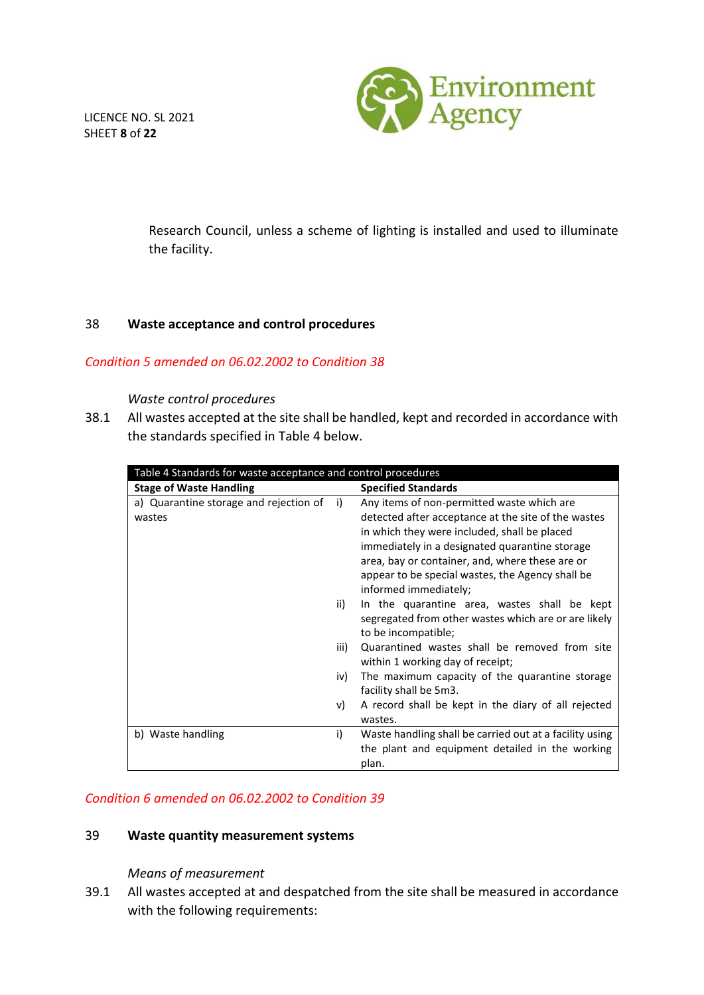LICENCE NO. SL 2021 SHEET **8** of **22**



Research Council, unless a scheme of lighting is installed and used to illuminate the facility.

### 38 **Waste acceptance and control procedures**

### *Condition 5 amended on 06.02.2002 to Condition 38*

#### *Waste control procedures*

38.1 All wastes accepted at the site shall be handled, kept and recorded in accordance with the standards specified in Table 4 below.

| Table 4 Standards for waste acceptance and control procedures |      |                                                         |  |
|---------------------------------------------------------------|------|---------------------------------------------------------|--|
| <b>Stage of Waste Handling</b>                                |      | <b>Specified Standards</b>                              |  |
| a) Quarantine storage and rejection of                        | i)   | Any items of non-permitted waste which are              |  |
| wastes                                                        |      | detected after acceptance at the site of the wastes     |  |
|                                                               |      | in which they were included, shall be placed            |  |
|                                                               |      | immediately in a designated quarantine storage          |  |
|                                                               |      | area, bay or container, and, where these are or         |  |
|                                                               |      | appear to be special wastes, the Agency shall be        |  |
|                                                               |      | informed immediately;                                   |  |
|                                                               | ii)  | In the quarantine area, wastes shall be kept            |  |
|                                                               |      | segregated from other wastes which are or are likely    |  |
|                                                               |      | to be incompatible;                                     |  |
|                                                               | iii) | Quarantined wastes shall be removed from site           |  |
|                                                               |      | within 1 working day of receipt;                        |  |
|                                                               | iv)  | The maximum capacity of the quarantine storage          |  |
|                                                               |      | facility shall be 5m3.                                  |  |
|                                                               | V)   | A record shall be kept in the diary of all rejected     |  |
|                                                               |      | wastes.                                                 |  |
| b) Waste handling                                             | i)   | Waste handling shall be carried out at a facility using |  |
|                                                               |      | the plant and equipment detailed in the working         |  |
|                                                               |      | plan.                                                   |  |

### *Condition 6 amended on 06.02.2002 to Condition 39*

### 39 **Waste quantity measurement systems**

### *Means of measurement*

39.1 All wastes accepted at and despatched from the site shall be measured in accordance with the following requirements: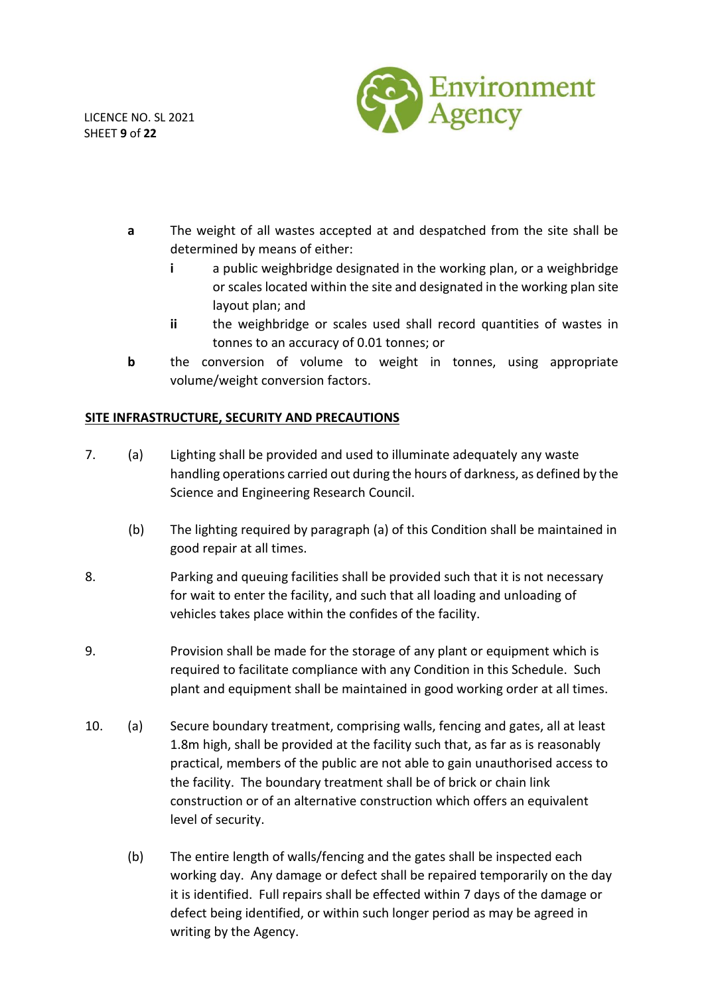LICENCE NO. SL 2021 SHEET **9** of **22**



- **a** The weight of all wastes accepted at and despatched from the site shall be determined by means of either:
	- **i** a public weighbridge designated in the working plan, or a weighbridge or scales located within the site and designated in the working plan site layout plan; and
	- **ii** the weighbridge or scales used shall record quantities of wastes in tonnes to an accuracy of 0.01 tonnes; or
- **b** the conversion of volume to weight in tonnes, using appropriate volume/weight conversion factors.

# **SITE INFRASTRUCTURE, SECURITY AND PRECAUTIONS**

- 7. (a) Lighting shall be provided and used to illuminate adequately any waste handling operations carried out during the hours of darkness, as defined by the Science and Engineering Research Council.
	- (b) The lighting required by paragraph (a) of this Condition shall be maintained in good repair at all times.
- 8. Parking and queuing facilities shall be provided such that it is not necessary for wait to enter the facility, and such that all loading and unloading of vehicles takes place within the confides of the facility.
- 9. Provision shall be made for the storage of any plant or equipment which is required to facilitate compliance with any Condition in this Schedule. Such plant and equipment shall be maintained in good working order at all times.
- 10. (a) Secure boundary treatment, comprising walls, fencing and gates, all at least 1.8m high, shall be provided at the facility such that, as far as is reasonably practical, members of the public are not able to gain unauthorised access to the facility. The boundary treatment shall be of brick or chain link construction or of an alternative construction which offers an equivalent level of security.
	- (b) The entire length of walls/fencing and the gates shall be inspected each working day. Any damage or defect shall be repaired temporarily on the day it is identified. Full repairs shall be effected within 7 days of the damage or defect being identified, or within such longer period as may be agreed in writing by the Agency.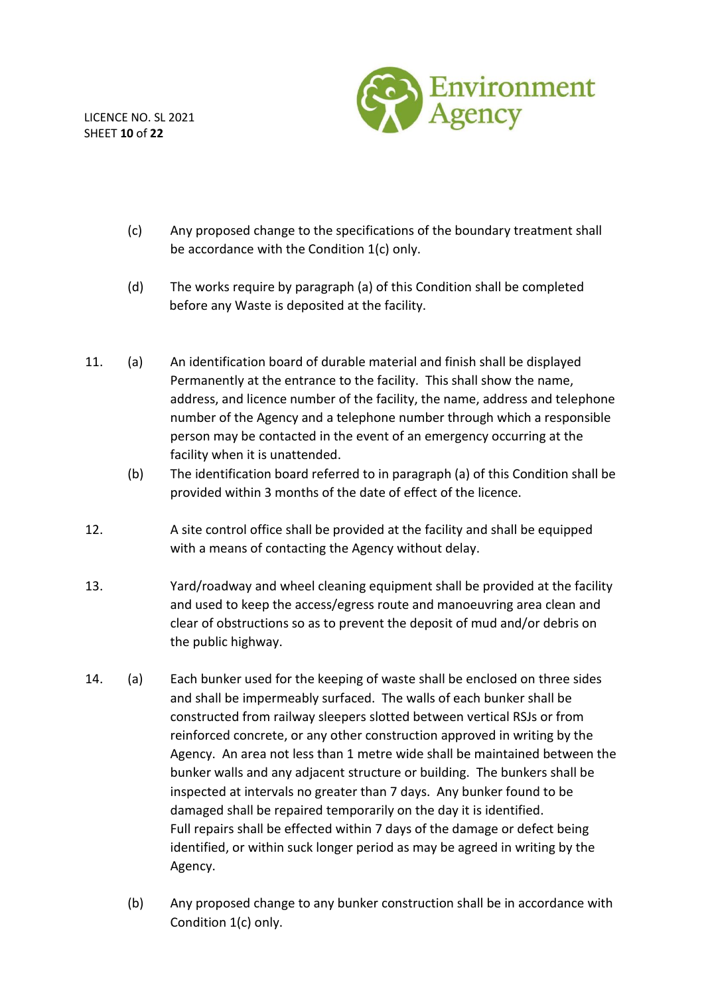LICENCE NO. SL 2021 SHEET **10** of **22**



- (c) Any proposed change to the specifications of the boundary treatment shall be accordance with the Condition 1(c) only.
- (d) The works require by paragraph (a) of this Condition shall be completed before any Waste is deposited at the facility.
- 11. (a) An identification board of durable material and finish shall be displayed Permanently at the entrance to the facility. This shall show the name, address, and licence number of the facility, the name, address and telephone number of the Agency and a telephone number through which a responsible person may be contacted in the event of an emergency occurring at the facility when it is unattended.
	- (b) The identification board referred to in paragraph (a) of this Condition shall be provided within 3 months of the date of effect of the licence.
- 12. A site control office shall be provided at the facility and shall be equipped with a means of contacting the Agency without delay.
- 13. Yard/roadway and wheel cleaning equipment shall be provided at the facility and used to keep the access/egress route and manoeuvring area clean and clear of obstructions so as to prevent the deposit of mud and/or debris on the public highway.
- 14. (a) Each bunker used for the keeping of waste shall be enclosed on three sides and shall be impermeably surfaced. The walls of each bunker shall be constructed from railway sleepers slotted between vertical RSJs or from reinforced concrete, or any other construction approved in writing by the Agency. An area not less than 1 metre wide shall be maintained between the bunker walls and any adjacent structure or building. The bunkers shall be inspected at intervals no greater than 7 days. Any bunker found to be damaged shall be repaired temporarily on the day it is identified. Full repairs shall be effected within 7 days of the damage or defect being identified, or within suck longer period as may be agreed in writing by the Agency.
	- (b) Any proposed change to any bunker construction shall be in accordance with Condition 1(c) only.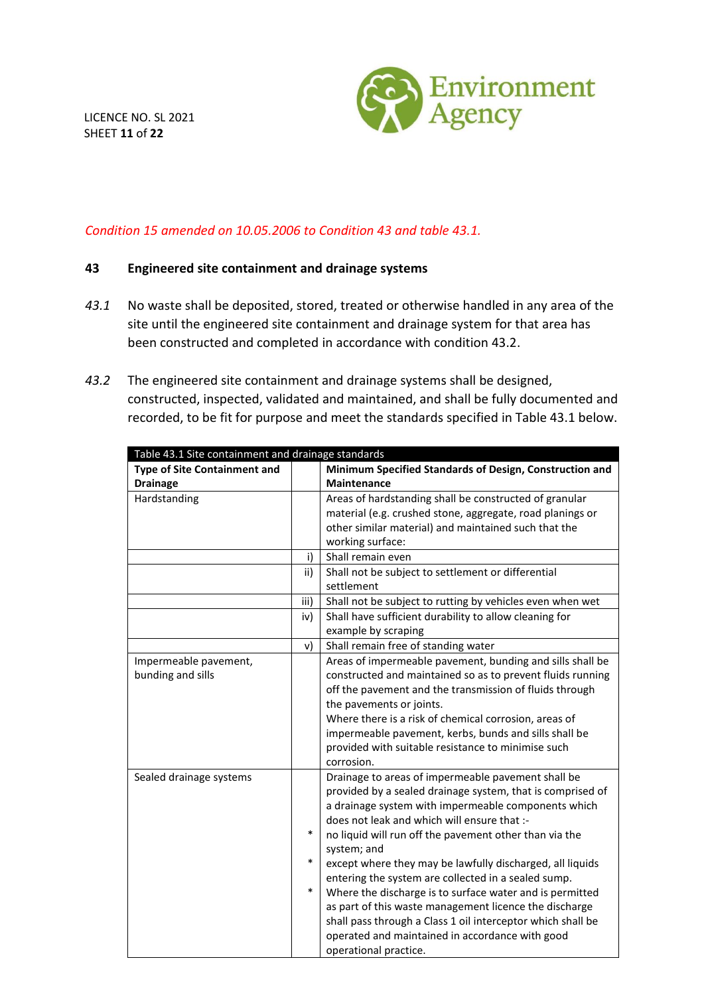

# *Condition 15 amended on 10.05.2006 to Condition 43 and table 43.1.*

### **43 Engineered site containment and drainage systems**

- *43.1* No waste shall be deposited, stored, treated or otherwise handled in any area of the site until the engineered site containment and drainage system for that area has been constructed and completed in accordance with condition 43.2.
- *43.2* The engineered site containment and drainage systems shall be designed, constructed, inspected, validated and maintained, and shall be fully documented and recorded, to be fit for purpose and meet the standards specified in Table 43.1 below.

| Table 43.1 Site containment and drainage standards |        |                                                             |  |  |
|----------------------------------------------------|--------|-------------------------------------------------------------|--|--|
| <b>Type of Site Containment and</b>                |        | Minimum Specified Standards of Design, Construction and     |  |  |
| <b>Drainage</b>                                    |        | <b>Maintenance</b>                                          |  |  |
| Hardstanding                                       |        | Areas of hardstanding shall be constructed of granular      |  |  |
|                                                    |        | material (e.g. crushed stone, aggregate, road planings or   |  |  |
|                                                    |        | other similar material) and maintained such that the        |  |  |
|                                                    |        | working surface:                                            |  |  |
|                                                    | i)     | Shall remain even                                           |  |  |
|                                                    | ii)    | Shall not be subject to settlement or differential          |  |  |
|                                                    |        | settlement                                                  |  |  |
|                                                    | iii)   | Shall not be subject to rutting by vehicles even when wet   |  |  |
|                                                    | iv)    | Shall have sufficient durability to allow cleaning for      |  |  |
|                                                    |        | example by scraping                                         |  |  |
|                                                    | v)     | Shall remain free of standing water                         |  |  |
| Impermeable pavement,                              |        | Areas of impermeable pavement, bunding and sills shall be   |  |  |
| bunding and sills                                  |        | constructed and maintained so as to prevent fluids running  |  |  |
|                                                    |        | off the pavement and the transmission of fluids through     |  |  |
|                                                    |        | the pavements or joints.                                    |  |  |
|                                                    |        | Where there is a risk of chemical corrosion, areas of       |  |  |
|                                                    |        | impermeable pavement, kerbs, bunds and sills shall be       |  |  |
|                                                    |        | provided with suitable resistance to minimise such          |  |  |
|                                                    |        | corrosion.                                                  |  |  |
| Sealed drainage systems                            |        | Drainage to areas of impermeable pavement shall be          |  |  |
|                                                    |        | provided by a sealed drainage system, that is comprised of  |  |  |
|                                                    |        | a drainage system with impermeable components which         |  |  |
|                                                    |        | does not leak and which will ensure that :-                 |  |  |
|                                                    | $\ast$ | no liquid will run off the pavement other than via the      |  |  |
|                                                    |        | system; and                                                 |  |  |
|                                                    | $\ast$ | except where they may be lawfully discharged, all liquids   |  |  |
|                                                    |        | entering the system are collected in a sealed sump.         |  |  |
|                                                    | $\ast$ | Where the discharge is to surface water and is permitted    |  |  |
|                                                    |        | as part of this waste management licence the discharge      |  |  |
|                                                    |        | shall pass through a Class 1 oil interceptor which shall be |  |  |
|                                                    |        | operated and maintained in accordance with good             |  |  |
|                                                    |        | operational practice.                                       |  |  |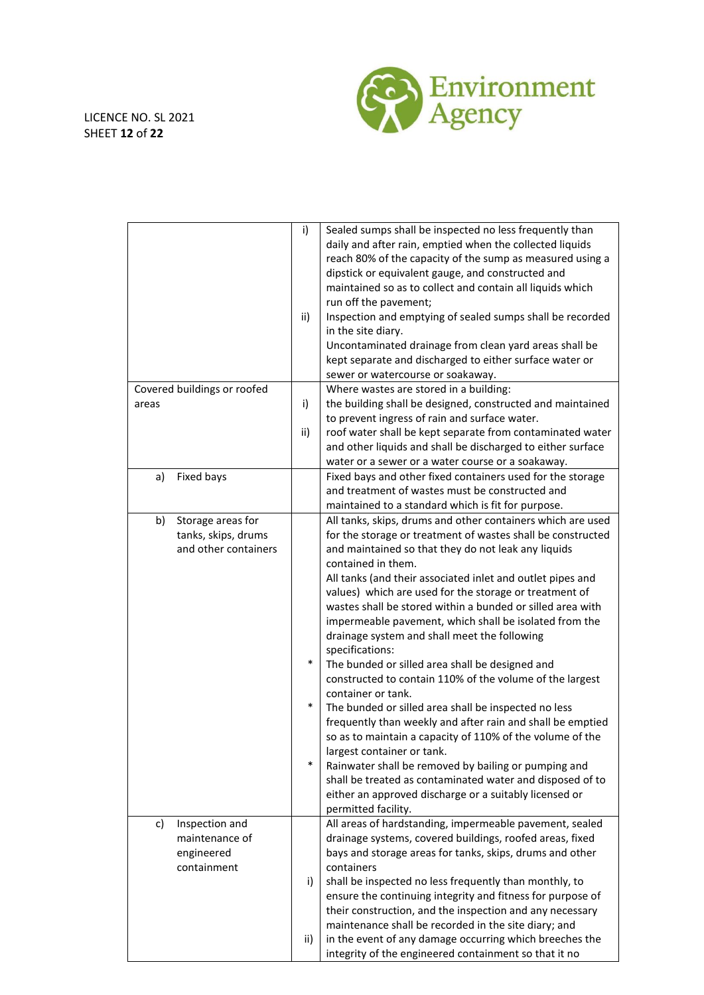

|                                             | i)<br>ii) | Sealed sumps shall be inspected no less frequently than<br>daily and after rain, emptied when the collected liquids<br>reach 80% of the capacity of the sump as measured using a<br>dipstick or equivalent gauge, and constructed and<br>maintained so as to collect and contain all liquids which<br>run off the pavement;<br>Inspection and emptying of sealed sumps shall be recorded<br>in the site diary.<br>Uncontaminated drainage from clean yard areas shall be<br>kept separate and discharged to either surface water or<br>sewer or watercourse or soakaway. |
|---------------------------------------------|-----------|--------------------------------------------------------------------------------------------------------------------------------------------------------------------------------------------------------------------------------------------------------------------------------------------------------------------------------------------------------------------------------------------------------------------------------------------------------------------------------------------------------------------------------------------------------------------------|
| Covered buildings or roofed                 |           | Where wastes are stored in a building:                                                                                                                                                                                                                                                                                                                                                                                                                                                                                                                                   |
| areas                                       | i)        | the building shall be designed, constructed and maintained<br>to prevent ingress of rain and surface water.                                                                                                                                                                                                                                                                                                                                                                                                                                                              |
|                                             | ii)       | roof water shall be kept separate from contaminated water                                                                                                                                                                                                                                                                                                                                                                                                                                                                                                                |
|                                             |           | and other liquids and shall be discharged to either surface                                                                                                                                                                                                                                                                                                                                                                                                                                                                                                              |
|                                             |           | water or a sewer or a water course or a soakaway.                                                                                                                                                                                                                                                                                                                                                                                                                                                                                                                        |
| Fixed bays<br>a)                            |           | Fixed bays and other fixed containers used for the storage                                                                                                                                                                                                                                                                                                                                                                                                                                                                                                               |
|                                             |           | and treatment of wastes must be constructed and                                                                                                                                                                                                                                                                                                                                                                                                                                                                                                                          |
|                                             |           | maintained to a standard which is fit for purpose.                                                                                                                                                                                                                                                                                                                                                                                                                                                                                                                       |
| Storage areas for<br>b)                     |           | All tanks, skips, drums and other containers which are used                                                                                                                                                                                                                                                                                                                                                                                                                                                                                                              |
| tanks, skips, drums<br>and other containers |           | for the storage or treatment of wastes shall be constructed                                                                                                                                                                                                                                                                                                                                                                                                                                                                                                              |
|                                             |           | and maintained so that they do not leak any liquids<br>contained in them.                                                                                                                                                                                                                                                                                                                                                                                                                                                                                                |
|                                             |           | All tanks (and their associated inlet and outlet pipes and                                                                                                                                                                                                                                                                                                                                                                                                                                                                                                               |
|                                             |           | values) which are used for the storage or treatment of<br>wastes shall be stored within a bunded or silled area with<br>impermeable pavement, which shall be isolated from the<br>drainage system and shall meet the following                                                                                                                                                                                                                                                                                                                                           |
|                                             | $\ast$    | specifications:                                                                                                                                                                                                                                                                                                                                                                                                                                                                                                                                                          |
|                                             |           | The bunded or silled area shall be designed and                                                                                                                                                                                                                                                                                                                                                                                                                                                                                                                          |
|                                             |           | constructed to contain 110% of the volume of the largest<br>container or tank.                                                                                                                                                                                                                                                                                                                                                                                                                                                                                           |
|                                             | $\ast$    | The bunded or silled area shall be inspected no less                                                                                                                                                                                                                                                                                                                                                                                                                                                                                                                     |
|                                             |           | frequently than weekly and after rain and shall be emptied                                                                                                                                                                                                                                                                                                                                                                                                                                                                                                               |
|                                             |           | so as to maintain a capacity of 110% of the volume of the                                                                                                                                                                                                                                                                                                                                                                                                                                                                                                                |
|                                             |           | largest container or tank.                                                                                                                                                                                                                                                                                                                                                                                                                                                                                                                                               |
|                                             | $\ast$    | Rainwater shall be removed by bailing or pumping and                                                                                                                                                                                                                                                                                                                                                                                                                                                                                                                     |
|                                             |           | shall be treated as contaminated water and disposed of to                                                                                                                                                                                                                                                                                                                                                                                                                                                                                                                |
|                                             |           | either an approved discharge or a suitably licensed or                                                                                                                                                                                                                                                                                                                                                                                                                                                                                                                   |
|                                             |           | permitted facility.                                                                                                                                                                                                                                                                                                                                                                                                                                                                                                                                                      |
| Inspection and<br>c)<br>maintenance of      |           | All areas of hardstanding, impermeable pavement, sealed<br>drainage systems, covered buildings, roofed areas, fixed                                                                                                                                                                                                                                                                                                                                                                                                                                                      |
| engineered                                  |           | bays and storage areas for tanks, skips, drums and other                                                                                                                                                                                                                                                                                                                                                                                                                                                                                                                 |
| containment                                 |           | containers                                                                                                                                                                                                                                                                                                                                                                                                                                                                                                                                                               |
|                                             | i)        | shall be inspected no less frequently than monthly, to                                                                                                                                                                                                                                                                                                                                                                                                                                                                                                                   |
|                                             |           | ensure the continuing integrity and fitness for purpose of                                                                                                                                                                                                                                                                                                                                                                                                                                                                                                               |
|                                             |           | their construction, and the inspection and any necessary                                                                                                                                                                                                                                                                                                                                                                                                                                                                                                                 |
|                                             |           | maintenance shall be recorded in the site diary; and                                                                                                                                                                                                                                                                                                                                                                                                                                                                                                                     |
|                                             | ii)       | in the event of any damage occurring which breeches the                                                                                                                                                                                                                                                                                                                                                                                                                                                                                                                  |
|                                             |           | integrity of the engineered containment so that it no                                                                                                                                                                                                                                                                                                                                                                                                                                                                                                                    |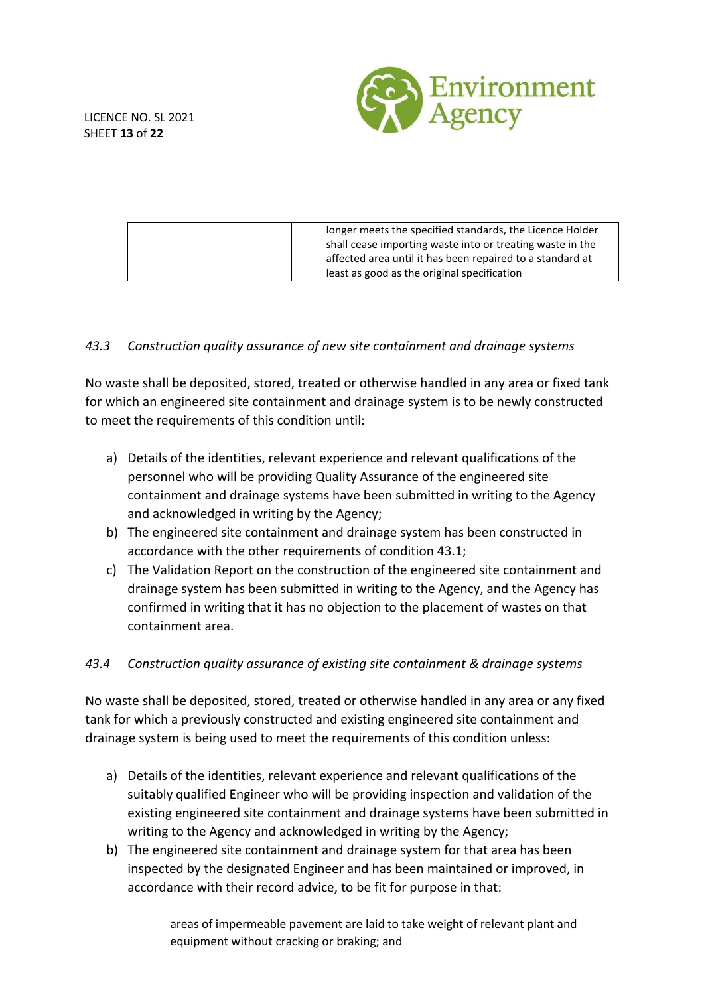

|  | longer meets the specified standards, the Licence Holder  |
|--|-----------------------------------------------------------|
|  | shall cease importing waste into or treating waste in the |
|  | affected area until it has been repaired to a standard at |
|  | least as good as the original specification               |
|  |                                                           |

### *43.3 Construction quality assurance of new site containment and drainage systems*

No waste shall be deposited, stored, treated or otherwise handled in any area or fixed tank for which an engineered site containment and drainage system is to be newly constructed to meet the requirements of this condition until:

- a) Details of the identities, relevant experience and relevant qualifications of the personnel who will be providing Quality Assurance of the engineered site containment and drainage systems have been submitted in writing to the Agency and acknowledged in writing by the Agency;
- b) The engineered site containment and drainage system has been constructed in accordance with the other requirements of condition 43.1;
- c) The Validation Report on the construction of the engineered site containment and drainage system has been submitted in writing to the Agency, and the Agency has confirmed in writing that it has no objection to the placement of wastes on that containment area.

### *43.4 Construction quality assurance of existing site containment & drainage systems*

No waste shall be deposited, stored, treated or otherwise handled in any area or any fixed tank for which a previously constructed and existing engineered site containment and drainage system is being used to meet the requirements of this condition unless:

- a) Details of the identities, relevant experience and relevant qualifications of the suitably qualified Engineer who will be providing inspection and validation of the existing engineered site containment and drainage systems have been submitted in writing to the Agency and acknowledged in writing by the Agency;
- b) The engineered site containment and drainage system for that area has been inspected by the designated Engineer and has been maintained or improved, in accordance with their record advice, to be fit for purpose in that:

areas of impermeable pavement are laid to take weight of relevant plant and equipment without cracking or braking; and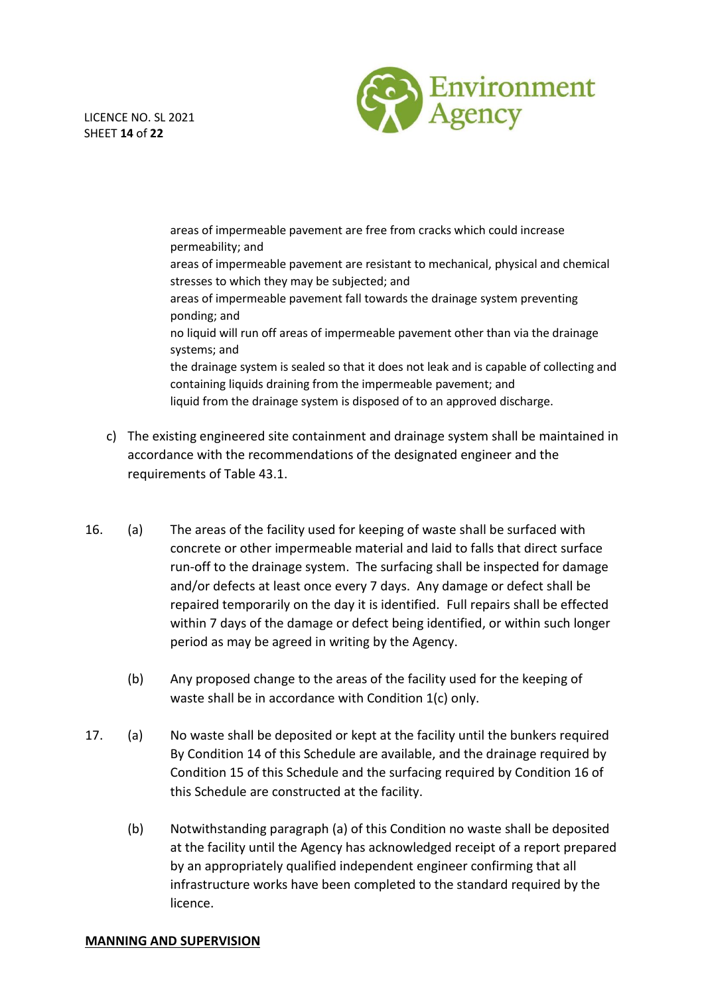

LICENCE NO. SL 2021 SHEET **14** of **22**

> areas of impermeable pavement are free from cracks which could increase permeability; and areas of impermeable pavement are resistant to mechanical, physical and chemical stresses to which they may be subjected; and areas of impermeable pavement fall towards the drainage system preventing ponding; and no liquid will run off areas of impermeable pavement other than via the drainage systems; and the drainage system is sealed so that it does not leak and is capable of collecting and containing liquids draining from the impermeable pavement; and liquid from the drainage system is disposed of to an approved discharge.

- c) The existing engineered site containment and drainage system shall be maintained in accordance with the recommendations of the designated engineer and the requirements of Table 43.1.
- 16. (a) The areas of the facility used for keeping of waste shall be surfaced with concrete or other impermeable material and laid to falls that direct surface run-off to the drainage system. The surfacing shall be inspected for damage and/or defects at least once every 7 days. Any damage or defect shall be repaired temporarily on the day it is identified. Full repairs shall be effected within 7 days of the damage or defect being identified, or within such longer period as may be agreed in writing by the Agency.
	- (b) Any proposed change to the areas of the facility used for the keeping of waste shall be in accordance with Condition 1(c) only.
- 17. (a) No waste shall be deposited or kept at the facility until the bunkers required By Condition 14 of this Schedule are available, and the drainage required by Condition 15 of this Schedule and the surfacing required by Condition 16 of this Schedule are constructed at the facility.
	- (b) Notwithstanding paragraph (a) of this Condition no waste shall be deposited at the facility until the Agency has acknowledged receipt of a report prepared by an appropriately qualified independent engineer confirming that all infrastructure works have been completed to the standard required by the licence.

### **MANNING AND SUPERVISION**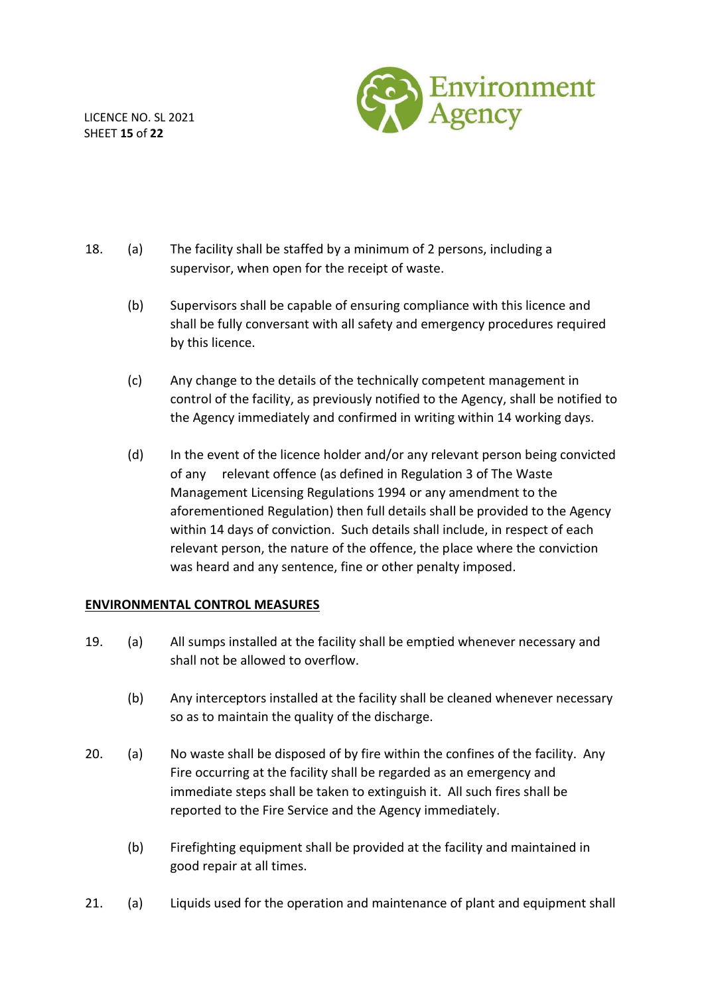LICENCE NO. SL 2021 SHEET **15** of **22**



- 18. (a) The facility shall be staffed by a minimum of 2 persons, including a supervisor, when open for the receipt of waste.
	- (b) Supervisors shall be capable of ensuring compliance with this licence and shall be fully conversant with all safety and emergency procedures required by this licence.
	- (c) Any change to the details of the technically competent management in control of the facility, as previously notified to the Agency, shall be notified to the Agency immediately and confirmed in writing within 14 working days.
	- (d) In the event of the licence holder and/or any relevant person being convicted of any relevant offence (as defined in Regulation 3 of The Waste Management Licensing Regulations 1994 or any amendment to the aforementioned Regulation) then full details shall be provided to the Agency within 14 days of conviction. Such details shall include, in respect of each relevant person, the nature of the offence, the place where the conviction was heard and any sentence, fine or other penalty imposed.

### **ENVIRONMENTAL CONTROL MEASURES**

- 19. (a) All sumps installed at the facility shall be emptied whenever necessary and shall not be allowed to overflow.
	- (b) Any interceptors installed at the facility shall be cleaned whenever necessary so as to maintain the quality of the discharge.
- 20. (a) No waste shall be disposed of by fire within the confines of the facility. Any Fire occurring at the facility shall be regarded as an emergency and immediate steps shall be taken to extinguish it. All such fires shall be reported to the Fire Service and the Agency immediately.
	- (b) Firefighting equipment shall be provided at the facility and maintained in good repair at all times.
- 21. (a) Liquids used for the operation and maintenance of plant and equipment shall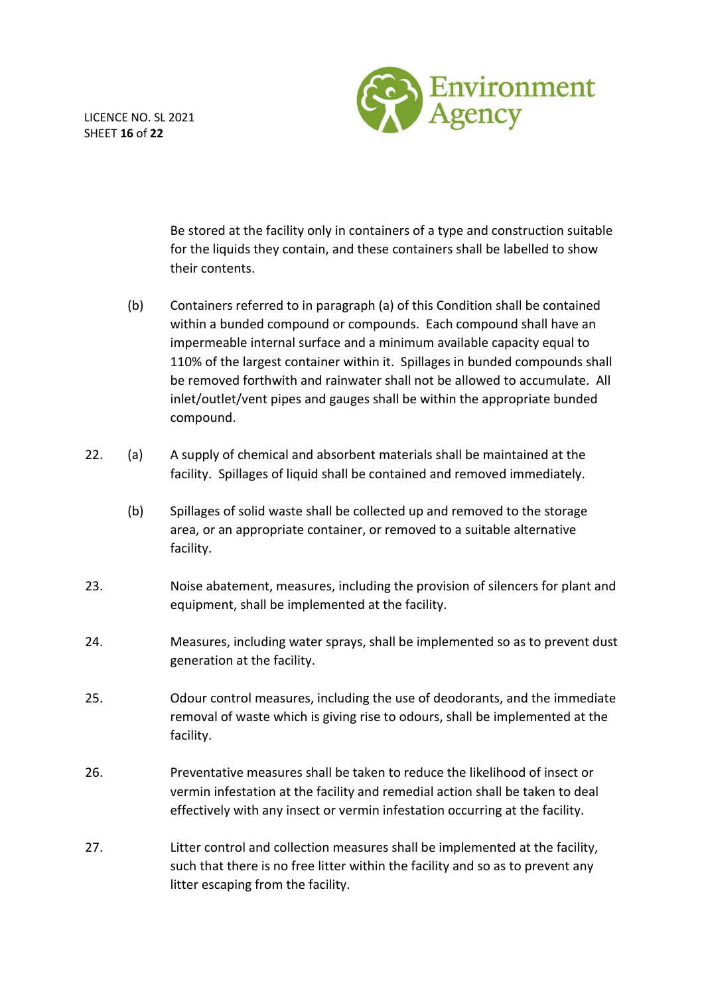LICENCE NO. SL 2021 SHEET **16** of **22**



Be stored at the facility only in containers of a type and construction suitable for the liquids they contain, and these containers shall be labelled to show their contents.

- (b) Containers referred to in paragraph (a) of this Condition shall be contained within a bunded compound or compounds. Each compound shall have an impermeable internal surface and a minimum available capacity equal to 110% of the largest container within it. Spillages in bunded compounds shall be removed forthwith and rainwater shall not be allowed to accumulate. All inlet/outlet/vent pipes and gauges shall be within the appropriate bunded compound.
- 22. (a) A supply of chemical and absorbent materials shall be maintained at the facility. Spillages of liquid shall be contained and removed immediately.
	- (b) Spillages of solid waste shall be collected up and removed to the storage area, or an appropriate container, or removed to a suitable alternative facility.
- 23. Noise abatement, measures, including the provision of silencers for plant and equipment, shall be implemented at the facility.
- 24. Measures, including water sprays, shall be implemented so as to prevent dust generation at the facility.
- 25. Odour control measures, including the use of deodorants, and the immediate removal of waste which is giving rise to odours, shall be implemented at the facility.
- 26. Preventative measures shall be taken to reduce the likelihood of insect or vermin infestation at the facility and remedial action shall be taken to deal effectively with any insect or vermin infestation occurring at the facility.
- 27. Litter control and collection measures shall be implemented at the facility, such that there is no free litter within the facility and so as to prevent any litter escaping from the facility.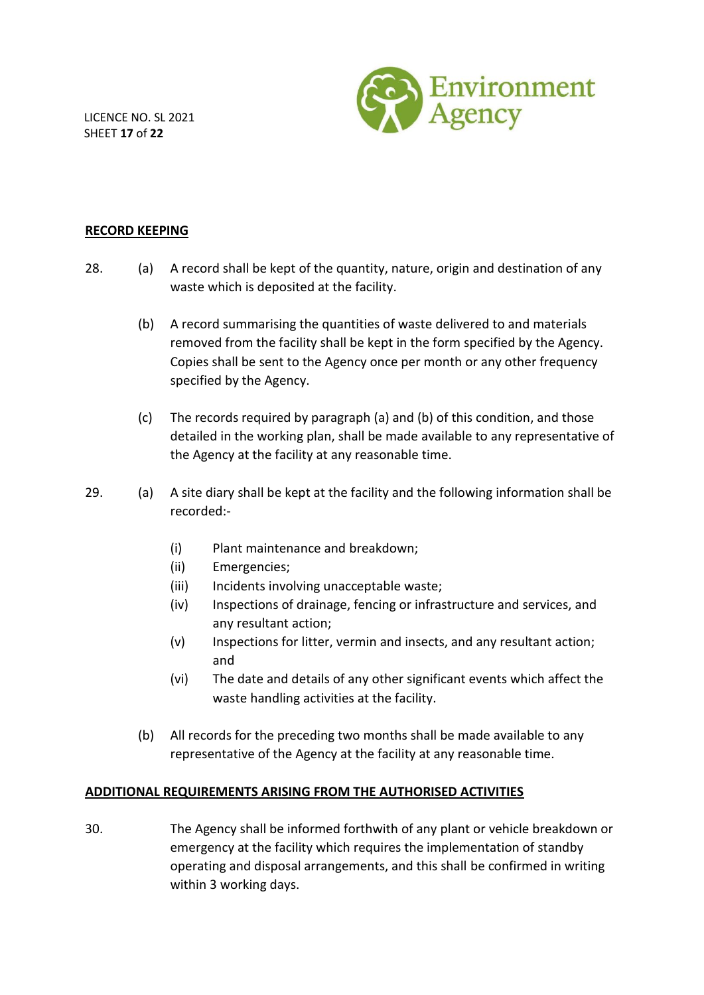LICENCE NO. SL 2021 SHEET **17** of **22**



#### **RECORD KEEPING**

- 28. (a) A record shall be kept of the quantity, nature, origin and destination of any waste which is deposited at the facility.
	- (b) A record summarising the quantities of waste delivered to and materials removed from the facility shall be kept in the form specified by the Agency. Copies shall be sent to the Agency once per month or any other frequency specified by the Agency.
	- (c) The records required by paragraph (a) and (b) of this condition, and those detailed in the working plan, shall be made available to any representative of the Agency at the facility at any reasonable time.
- 29. (a) A site diary shall be kept at the facility and the following information shall be recorded:-
	- (i) Plant maintenance and breakdown;
	- (ii) Emergencies;
	- (iii) Incidents involving unacceptable waste;
	- (iv) Inspections of drainage, fencing or infrastructure and services, and any resultant action;
	- (v) Inspections for litter, vermin and insects, and any resultant action; and
	- (vi) The date and details of any other significant events which affect the waste handling activities at the facility.
	- (b) All records for the preceding two months shall be made available to any representative of the Agency at the facility at any reasonable time.

### **ADDITIONAL REQUIREMENTS ARISING FROM THE AUTHORISED ACTIVITIES**

30. The Agency shall be informed forthwith of any plant or vehicle breakdown or emergency at the facility which requires the implementation of standby operating and disposal arrangements, and this shall be confirmed in writing within 3 working days.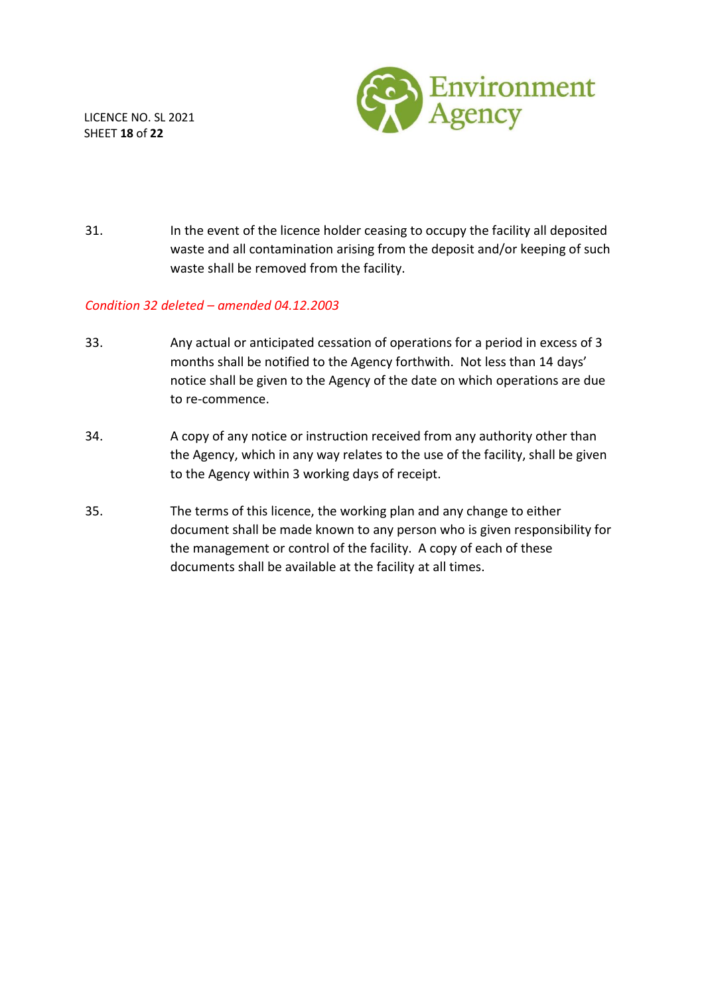

LICENCE NO. SL 2021 SHEET **18** of **22**

31. In the event of the licence holder ceasing to occupy the facility all deposited waste and all contamination arising from the deposit and/or keeping of such waste shall be removed from the facility.

#### *Condition 32 deleted – amended 04.12.2003*

- 33. Any actual or anticipated cessation of operations for a period in excess of 3 months shall be notified to the Agency forthwith. Not less than 14 days' notice shall be given to the Agency of the date on which operations are due to re-commence.
- 34. A copy of any notice or instruction received from any authority other than the Agency, which in any way relates to the use of the facility, shall be given to the Agency within 3 working days of receipt.
- 35. The terms of this licence, the working plan and any change to either document shall be made known to any person who is given responsibility for the management or control of the facility. A copy of each of these documents shall be available at the facility at all times.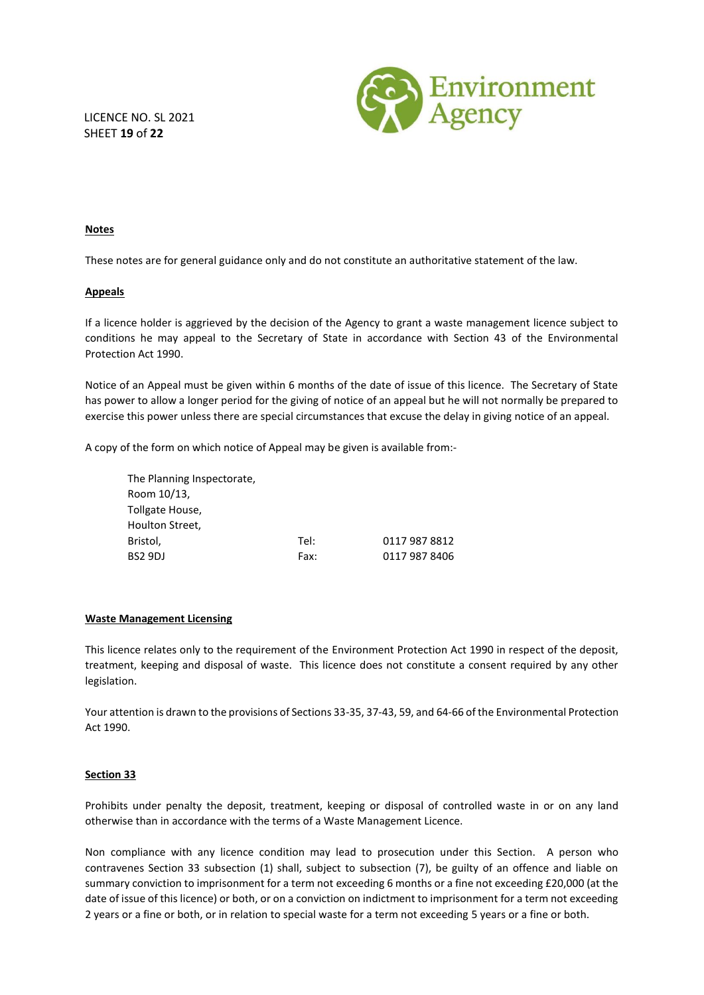

LICENCE NO. SL 2021 SHEET **19** of **22**

#### **Notes**

These notes are for general guidance only and do not constitute an authoritative statement of the law.

#### **Appeals**

If a licence holder is aggrieved by the decision of the Agency to grant a waste management licence subject to conditions he may appeal to the Secretary of State in accordance with Section 43 of the Environmental Protection Act 1990.

Notice of an Appeal must be given within 6 months of the date of issue of this licence. The Secretary of State has power to allow a longer period for the giving of notice of an appeal but he will not normally be prepared to exercise this power unless there are special circumstances that excuse the delay in giving notice of an appeal.

A copy of the form on which notice of Appeal may be given is available from:-

The Planning Inspectorate, Room 10/13, Tollgate House, Houlton Street, Bristol, Tel: 0117 987 8812 BS2 9DJ Fax: 0117 987 8406

#### **Waste Management Licensing**

This licence relates only to the requirement of the Environment Protection Act 1990 in respect of the deposit, treatment, keeping and disposal of waste. This licence does not constitute a consent required by any other legislation.

Your attention is drawn to the provisions of Sections 33-35, 37-43, 59, and 64-66 of the Environmental Protection Act 1990.

#### **Section 33**

Prohibits under penalty the deposit, treatment, keeping or disposal of controlled waste in or on any land otherwise than in accordance with the terms of a Waste Management Licence.

Non compliance with any licence condition may lead to prosecution under this Section. A person who contravenes Section 33 subsection (1) shall, subject to subsection (7), be guilty of an offence and liable on summary conviction to imprisonment for a term not exceeding 6 months or a fine not exceeding £20,000 (at the date of issue of this licence) or both, or on a conviction on indictment to imprisonment for a term not exceeding 2 years or a fine or both, or in relation to special waste for a term not exceeding 5 years or a fine or both.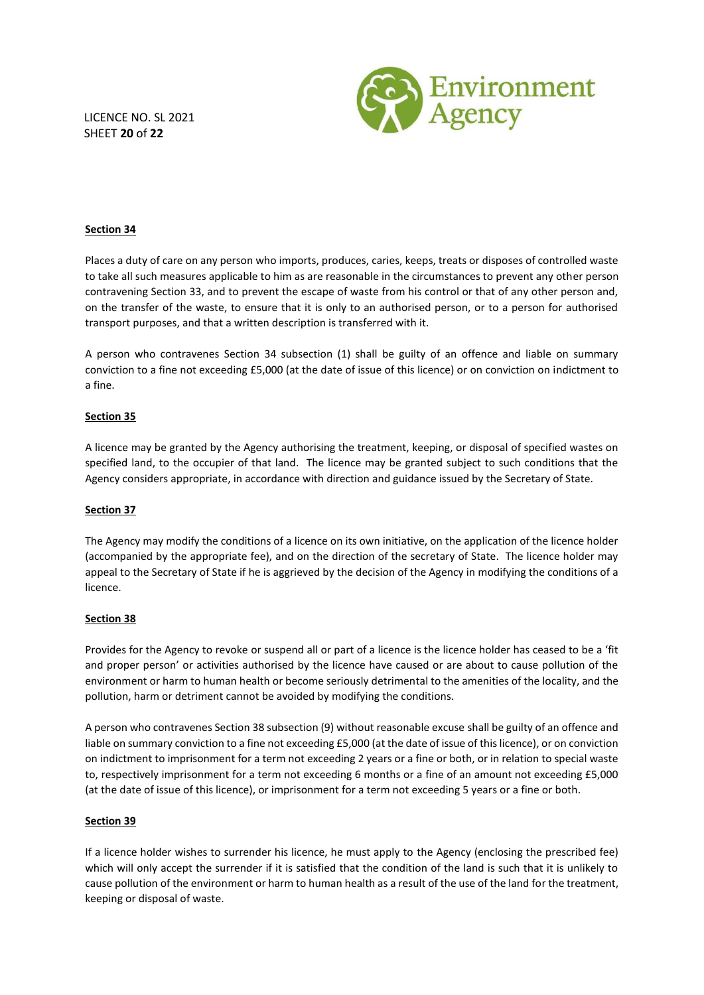LICENCE NO. SL 2021 SHEET **20** of **22**



#### **Section 34**

Places a duty of care on any person who imports, produces, caries, keeps, treats or disposes of controlled waste to take all such measures applicable to him as are reasonable in the circumstances to prevent any other person contravening Section 33, and to prevent the escape of waste from his control or that of any other person and, on the transfer of the waste, to ensure that it is only to an authorised person, or to a person for authorised transport purposes, and that a written description is transferred with it.

A person who contravenes Section 34 subsection (1) shall be guilty of an offence and liable on summary conviction to a fine not exceeding £5,000 (at the date of issue of this licence) or on conviction on indictment to a fine.

#### **Section 35**

A licence may be granted by the Agency authorising the treatment, keeping, or disposal of specified wastes on specified land, to the occupier of that land. The licence may be granted subject to such conditions that the Agency considers appropriate, in accordance with direction and guidance issued by the Secretary of State.

#### **Section 37**

The Agency may modify the conditions of a licence on its own initiative, on the application of the licence holder (accompanied by the appropriate fee), and on the direction of the secretary of State. The licence holder may appeal to the Secretary of State if he is aggrieved by the decision of the Agency in modifying the conditions of a licence.

#### **Section 38**

Provides for the Agency to revoke or suspend all or part of a licence is the licence holder has ceased to be a 'fit and proper person' or activities authorised by the licence have caused or are about to cause pollution of the environment or harm to human health or become seriously detrimental to the amenities of the locality, and the pollution, harm or detriment cannot be avoided by modifying the conditions.

A person who contravenes Section 38 subsection (9) without reasonable excuse shall be guilty of an offence and liable on summary conviction to a fine not exceeding £5,000 (at the date of issue of this licence), or on conviction on indictment to imprisonment for a term not exceeding 2 years or a fine or both, or in relation to special waste to, respectively imprisonment for a term not exceeding 6 months or a fine of an amount not exceeding £5,000 (at the date of issue of this licence), or imprisonment for a term not exceeding 5 years or a fine or both.

#### **Section 39**

If a licence holder wishes to surrender his licence, he must apply to the Agency (enclosing the prescribed fee) which will only accept the surrender if it is satisfied that the condition of the land is such that it is unlikely to cause pollution of the environment or harm to human health as a result of the use of the land for the treatment, keeping or disposal of waste.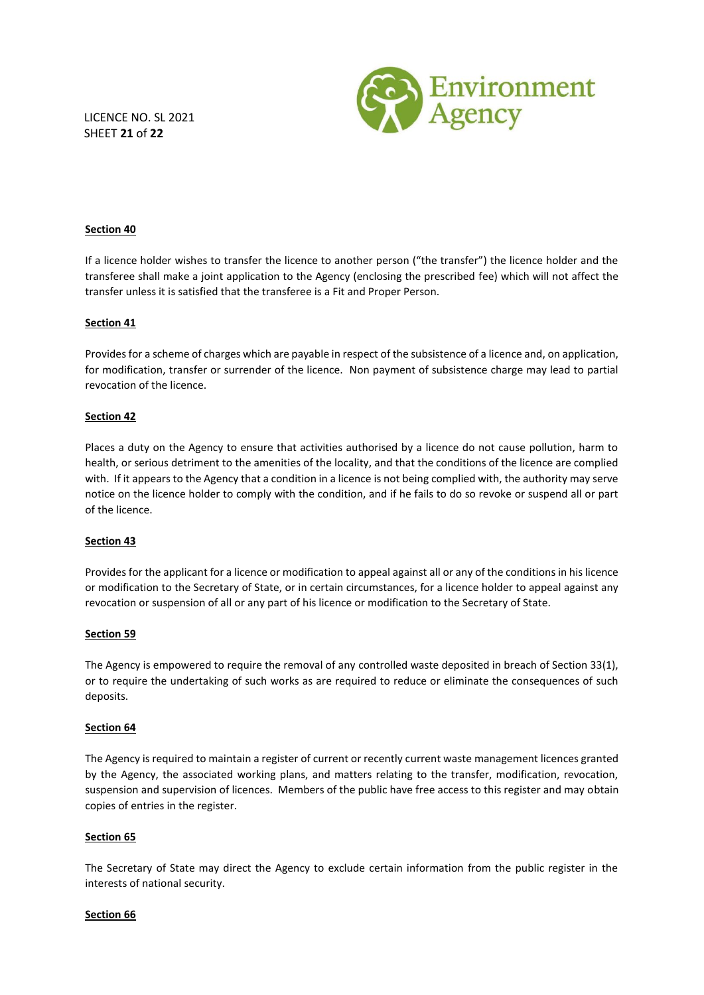LICENCE NO. SL 2021 SHEET **21** of **22**



#### **Section 40**

If a licence holder wishes to transfer the licence to another person ("the transfer") the licence holder and the transferee shall make a joint application to the Agency (enclosing the prescribed fee) which will not affect the transfer unless it is satisfied that the transferee is a Fit and Proper Person.

#### **Section 41**

Provides for a scheme of charges which are payable in respect of the subsistence of a licence and, on application, for modification, transfer or surrender of the licence. Non payment of subsistence charge may lead to partial revocation of the licence.

#### **Section 42**

Places a duty on the Agency to ensure that activities authorised by a licence do not cause pollution, harm to health, or serious detriment to the amenities of the locality, and that the conditions of the licence are complied with. If it appears to the Agency that a condition in a licence is not being complied with, the authority may serve notice on the licence holder to comply with the condition, and if he fails to do so revoke or suspend all or part of the licence.

#### **Section 43**

Provides for the applicant for a licence or modification to appeal against all or any of the conditions in his licence or modification to the Secretary of State, or in certain circumstances, for a licence holder to appeal against any revocation or suspension of all or any part of his licence or modification to the Secretary of State.

#### **Section 59**

The Agency is empowered to require the removal of any controlled waste deposited in breach of Section 33(1), or to require the undertaking of such works as are required to reduce or eliminate the consequences of such deposits.

#### **Section 64**

The Agency is required to maintain a register of current or recently current waste management licences granted by the Agency, the associated working plans, and matters relating to the transfer, modification, revocation, suspension and supervision of licences. Members of the public have free access to this register and may obtain copies of entries in the register.

#### **Section 65**

The Secretary of State may direct the Agency to exclude certain information from the public register in the interests of national security.

#### **Section 66**